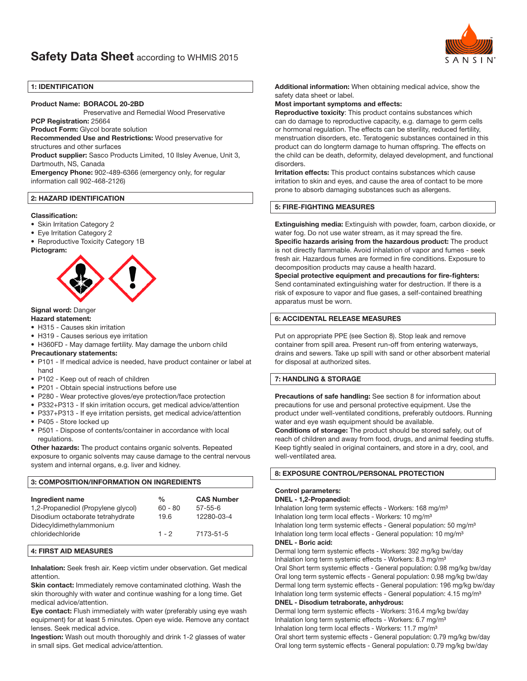

## 1: IDENTIFICATION

### Product Name: BORACOL 20-2BD

Preservative and Remedial Wood Preservative

PCP Registration: 25664

Product Form: Glycol borate solution

Recommended Use and Restrictions: Wood preservative for structures and other surfaces

Product supplier: Sasco Products Limited, 10 Ilsley Avenue, Unit 3, Dartmouth, NS, Canada

Emergency Phone: 902-489-6366 (emergency only, for regular information call 902-468-2126)

## 2: HAZARD IDENTIFICATION

### Classification:

- Skin Irritation Category 2
- Eye Irritation Category 2
- Reproductive Toxicity Category 1B

### Pictogram:



# Signal word: Danger

### Hazard statement:

- H315 Causes skin irritation
- H319 Causes serious eye irritation
- H360FD May damage fertility. May damage the unborn child

### Precautionary statements:

- P101 If medical advice is needed, have product container or label at hand
- P102 Keep out of reach of children
- P201 Obtain special instructions before use
- P280 Wear protective gloves/eye protection/face protection
- P332+P313 If skin irritation occurs, get medical advice/attention
- P337+P313 If eye irritation persists, get medical advice/attention
- P405 Store locked up
- P501 Dispose of contents/container in accordance with local regulations.

Other hazards: The product contains organic solvents. Repeated exposure to organic solvents may cause damage to the central nervous system and internal organs, e.g. liver and kidney.

# 3: COMPOSITION/INFORMATION ON INGREDIENTS

| Ingredient name                             | $\frac{0}{0}$ | <b>CAS Number</b> |
|---------------------------------------------|---------------|-------------------|
| 1,2-Propanediol (Propylene glycol)          | $60 - 80$     | $57 - 55 - 6$     |
| Disodium octaborate tetrahydrate            | 19.6          | 12280-03-4        |
| Didecyldimethylammonium<br>chloridechloride | $1 - 2$       | 7173-51-5         |

# 4: FIRST AID MEASURES

Inhalation: Seek fresh air. Keep victim under observation. Get medical attention.

Skin contact: Immediately remove contaminated clothing. Wash the skin thoroughly with water and continue washing for a long time. Get medical advice/attention.

Eye contact: Flush immediately with water (preferably using eye wash equipment) for at least 5 minutes. Open eye wide. Remove any contact lenses. Seek medical advice.

Ingestion: Wash out mouth thoroughly and drink 1-2 glasses of water in small sips. Get medical advice/attention.

Additional information: When obtaining medical advice, show the safety data sheet or label.

### Most important symptoms and effects:

Reproductive toxicity: This product contains substances which can do damage to reproductive capacity, e.g. damage to germ cells or hormonal regulation. The effects can be sterility, reduced fertility, menstruation disorders, etc. Teratogenic substances contained in this product can do longterm damage to human offspring. The effects on the child can be death, deformity, delayed development, and functional disorders.

**Irritation effects:** This product contains substances which cause irritation to skin and eyes, and cause the area of contact to be more prone to absorb damaging substances such as allergens.

### 5: FIRE-FIGHTING MEASURES

Extinguishing media: Extinguish with powder, foam, carbon dioxide, or water fog. Do not use water stream, as it may spread the fire. Specific hazards arising from the hazardous product: The product is not directly flammable. Avoid inhalation of vapor and fumes - seek fresh air. Hazardous fumes are formed in fire conditions. Exposure to decomposition products may cause a health hazard.

Special protective equipment and precautions for fire-fighters: Send contaminated extinguishing water for destruction. If there is a risk of exposure to vapor and flue gases, a self-contained breathing apparatus must be worn.

### 6: ACCIDENTAL RELEASE MEASURES

Put on appropriate PPE (see Section 8). Stop leak and remove container from spill area. Present run-off from entering waterways, drains and sewers. Take up spill with sand or other absorbent material for disposal at authorized sites.

## 7: HANDLING & STORAGE

Precautions of safe handling: See section 8 for information about precautions for use and personal protective equipment. Use the product under well-ventilated conditions, preferably outdoors. Running water and eye wash equipment should be available.

Conditions of storage: The product should be stored safely, out of reach of children and away from food, drugs, and animal feeding stuffs. Keep tightly sealed in original containers, and store in a dry, cool, and well-ventilated area.

### 8: EXPOSURE CONTROL/PERSONAL PROTECTION

# Control parameters:

### DNEL - 1,2-Propanediol:

Inhalation long term systemic effects - Workers: 168 mg/m<sup>3</sup> Inhalation long term local effects - Workers: 10 mg/m<sup>3</sup> Inhalation long term systemic effects - General population: 50 mg/m<sup>3</sup> Inhalation long term local effects - General population: 10 mg/m<sup>3</sup> DNEL - Boric acid:

Dermal long term systemic effects - Workers: 392 mg/kg bw/day Inhalation long term systemic effects - Workers: 8.3 mg/m<sup>3</sup> Oral Short term systemic effects - General population: 0.98 mg/kg bw/day Oral long term systemic effects - General population: 0.98 mg/kg bw/day Dermal long term systemic effects - General population: 196 mg/kg bw/day Inhalation long term systemic effects - General population: 4.15 mg/m<sup>3</sup>

## DNEL - Disodium tetraborate, anhydrous:

Dermal long term systemic effects - Workers: 316.4 mg/kg bw/day Inhalation long term systemic effects - Workers: 6.7 mg/m<sup>3</sup> Inhalation long term local effects - Workers: 11.7 mg/m<sup>3</sup>

Oral short term systemic effects - General population: 0.79 mg/kg bw/day Oral long term systemic effects - General population: 0.79 mg/kg bw/day